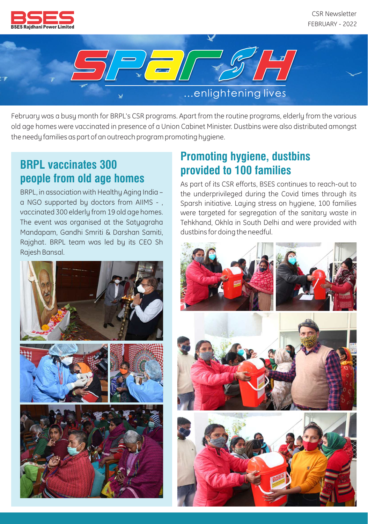

CSR Newsletter FEBRUARY - 2022



February was a busy month for BRPL's CSR programs. Apart from the routine programs, elderly from the various old age homes were vaccinated in presence of a Union Cabinet Minister. Dustbins were also distributed amongst the needy families as part of an outreach program promoting hygiene.

## **BRPL vaccinates 300 people from old age homes**

BRPL, in association with Healthy Aging India – a NGO supported by doctors from AIIMS - , vaccinated 300 elderly from 19 old age homes. The event was organised at the Satyagraha Mandapam, Gandhi Smriti & Darshan Samiti, Rajghat. BRPL team was led by its CEO Sh Rajesh Bansal.



As part of its CSR efforts, BSES continues to reach-out to the underprivileged during the Covid times through its Sparsh initiative. Laying stress on hygiene, 100 families were targeted for segregation of the sanitary waste in Tehkhand, Okhla in South Delhi and were provided with dustbins for doing the needful.



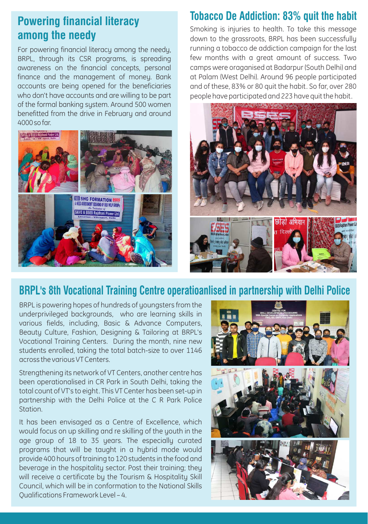## **Powering financial literacy among the needy**

For powering financial literacy among the needy, BRPL, through its CSR programs, is spreading awareness on the financial concepts, personal finance and the management of money. Bank accounts are being opened for the beneficiaries who don't have accounts and are willing to be part of the formal banking system. Around 500 women benefitted from the drive in February and around 4000sofar.



#### **Tobacco De Addiction: 83% quit the habit**

Smoking is injuries to health. To take this message down to the grassroots, BRPL has been successfully running a tobacco de addiction campaign for the last few months with a great amount of success. Two camps were oraganised at Badarpur (South Delhi) and at Palam (West Delhi). Around 96 people participated and of these, 83% or 80 quit the habit. So far, over 280 people have participated and 223 have quit the habit.



#### **BRPL's 8th Vocational Training Centre operatioanlised in partnership with Delhi Police**

BRPL is powering hopes of hundreds of youngsters from the underprivileged backgrounds, who are learning skills in various fields, including, Basic & Advance Computers, Beauty Culture, Fashion, Designing & Tailoring at BRPL's Vocational Training Centers. During the month, nine new students enrolled, taking the total batch-size to over 1146 across the various VT Centers.

Strengthening its network of VT Centers, another centre has been operationalised in CR Park in South Delhi, taking the total count of VT's to eight. This VT Center has been set-up in partnership with the Delhi Police at the C R Park Police **Station** 

It has been envisaged as a Centre of Excellence, which would focus on up skilling and re skilling of the youth in the age group of 18 to 35 years. The especially curated programs that will be taught in a hybrid mode would provide 400 hours of training to 120 students in the food and beverage in the hospitality sector. Post their training; they will receive a certificate by the Tourism & Hospitality Skill Council, which will be in conformation to the National Skills Qualifications Framework Level – 4.

![](_page_1_Picture_10.jpeg)